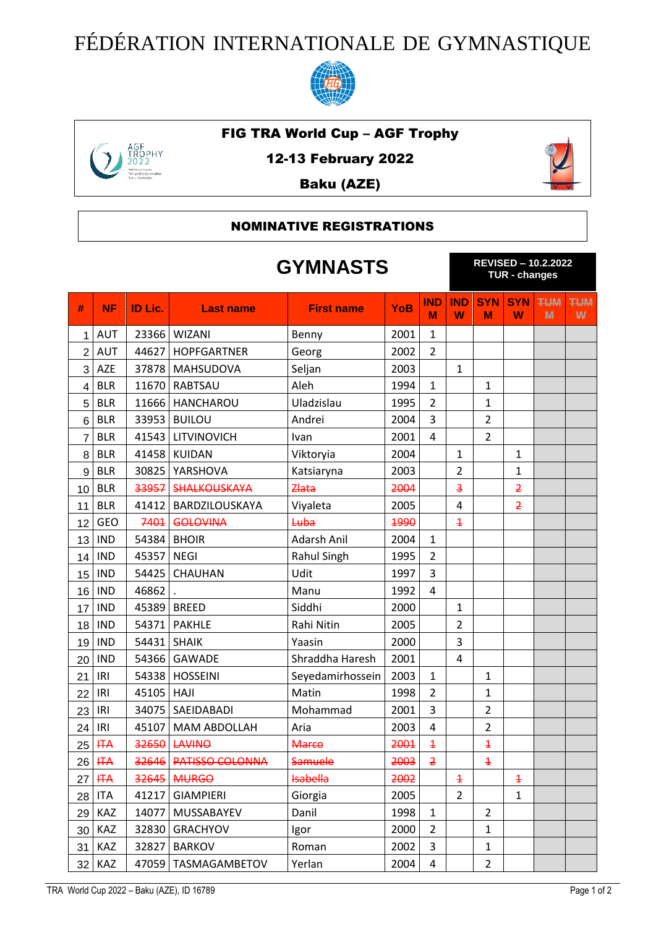## FÉDÉRATION INTERNATIONALE DE GYMNASTIQUE



## FIG TRA World Cup – AGF Trophy



12-13 February 2022

Baku (AZE)



## NOMINATIVE REGISTRATIONS

|                | <b>GYMNASTS</b> |         |                        |                   |            | <b>REVISED - 10.2.2022</b><br><b>TUR - changes</b> |                         |                         |                 |                 |                 |
|----------------|-----------------|---------|------------------------|-------------------|------------|----------------------------------------------------|-------------------------|-------------------------|-----------------|-----------------|-----------------|
| #              | <b>NF</b>       | ID Lic. | <b>Last name</b>       | <b>First name</b> | <b>YoB</b> | <b>IND</b><br>м                                    | <b>IND</b><br>W         | <b>SYN</b><br>M         | <b>SYN</b><br>W | <b>TUM</b><br>M | <b>TUM</b><br>₩ |
| 1              | <b>AUT</b>      | 23366   | <b>WIZANI</b>          | Benny             | 2001       | $\mathbf{1}$                                       |                         |                         |                 |                 |                 |
| $\overline{2}$ | <b>AUT</b>      | 44627   | <b>HOPFGARTNER</b>     | Georg             | 2002       | $\overline{2}$                                     |                         |                         |                 |                 |                 |
| 3              | AZE             | 37878   | <b>MAHSUDOVA</b>       | Seljan            | 2003       |                                                    | $\mathbf{1}$            |                         |                 |                 |                 |
| 4              | <b>BLR</b>      | 11670   | RABTSAU                | Aleh              | 1994       | $\mathbf{1}$                                       |                         | 1                       |                 |                 |                 |
| 5              | <b>BLR</b>      | 11666   | <b>HANCHAROU</b>       | Uladzislau        | 1995       | $\overline{2}$                                     |                         | $\mathbf{1}$            |                 |                 |                 |
| 6              | <b>BLR</b>      | 33953   | <b>BUILOU</b>          | Andrei            | 2004       | 3                                                  |                         | $\overline{2}$          |                 |                 |                 |
| $\overline{7}$ | <b>BLR</b>      | 41543   | LITVINOVICH            | Ivan              | 2001       | $\overline{4}$                                     |                         | $\overline{2}$          |                 |                 |                 |
| 8              | <b>BLR</b>      | 41458   | <b>KUIDAN</b>          | Viktoryia         | 2004       |                                                    | $\mathbf{1}$            |                         | $\mathbf{1}$    |                 |                 |
| 9              | <b>BLR</b>      | 30825   | YARSHOVA               | Katsiaryna        | 2003       |                                                    | $\overline{2}$          |                         | $\mathbf{1}$    |                 |                 |
| 10             | <b>BLR</b>      | 33957   | <b>SHALKOUSKAYA</b>    | Zlata             | 2004       |                                                    | $\overline{\mathbf{3}}$ |                         | $\overline{2}$  |                 |                 |
| 11             | <b>BLR</b>      | 41412   | BARDZILOUSKAYA         | Viyaleta          | 2005       |                                                    | 4                       |                         | $\overline{2}$  |                 |                 |
| 12             | <b>GEO</b>      | 7401    | <b>GOLOVINA</b>        | Luba              | 1990       |                                                    | $\overline{1}$          |                         |                 |                 |                 |
| 13             | <b>IND</b>      | 54384   | <b>BHOIR</b>           | Adarsh Anil       | 2004       | $\mathbf{1}$                                       |                         |                         |                 |                 |                 |
| 14             | <b>IND</b>      | 45357   | <b>NEGI</b>            | Rahul Singh       | 1995       | $\overline{2}$                                     |                         |                         |                 |                 |                 |
| 15             | <b>IND</b>      | 54425   | CHAUHAN                | Udit              | 1997       | 3                                                  |                         |                         |                 |                 |                 |
| 16             | <b>IND</b>      | 46862   |                        | Manu              | 1992       | 4                                                  |                         |                         |                 |                 |                 |
| 17             | <b>IND</b>      | 45389   | <b>BREED</b>           | Siddhi            | 2000       |                                                    | $\mathbf{1}$            |                         |                 |                 |                 |
| 18             | <b>IND</b>      | 54371   | <b>PAKHLE</b>          | Rahi Nitin        | 2005       |                                                    | $\overline{2}$          |                         |                 |                 |                 |
| 19             | <b>IND</b>      | 54431   | <b>SHAIK</b>           | Yaasin            | 2000       |                                                    | 3                       |                         |                 |                 |                 |
| 20             | <b>IND</b>      | 54366   | <b>GAWADE</b>          | Shraddha Haresh   | 2001       |                                                    | 4                       |                         |                 |                 |                 |
| 21             | IRI             | 54338   | <b>HOSSEINI</b>        | Seyedamirhossein  | 2003       | $\mathbf{1}$                                       |                         | $\mathbf{1}$            |                 |                 |                 |
| 22             | IRI             | 45105   | <b>HAJI</b>            | Matin             | 1998       | $\overline{2}$                                     |                         | $\mathbf{1}$            |                 |                 |                 |
| 23             | IRI             | 34075   | SAEIDABADI             | Mohammad          | 2001       | 3                                                  |                         | $\overline{2}$          |                 |                 |                 |
| 24             | IRI             | 45107   | <b>MAM ABDOLLAH</b>    | Aria              | 2003       | 4                                                  |                         | $\overline{2}$          |                 |                 |                 |
| 25             | H A             |         | <b>32650 LAVINO</b>    | <b>Marco</b>      | 2001       | $\overline{1}$                                     |                         | $\overline{\textbf{f}}$ |                 |                 |                 |
| 26             | <b>HTA</b>      | 32646   | <b>PATISSO COLONNA</b> | <b>Samuele</b>    | 2003       | $\overline{2}$                                     |                         | $\overline{1}$          |                 |                 |                 |
| 27             | <b>HTA</b>      | 32645   | <b>MURGO</b>           | <b>Isabella</b>   | 2002       |                                                    | $\overline{1}$          |                         | $\overline{1}$  |                 |                 |
| 28             | ITA             | 41217   | <b>GIAMPIERI</b>       | Giorgia           | 2005       |                                                    | $\overline{2}$          |                         | $\mathbf{1}$    |                 |                 |
| 29             | KAZ             | 14077   | MUSSABAYEV             | Danil             | 1998       | $\mathbf{1}$                                       |                         | $\overline{2}$          |                 |                 |                 |
| 30             | KAZ             | 32830   | <b>GRACHYOV</b>        | Igor              | 2000       | $\overline{2}$                                     |                         | $\mathbf{1}$            |                 |                 |                 |
| 31             | KAZ             | 32827   | <b>BARKOV</b>          | Roman             | 2002       | 3                                                  |                         | $\mathbf{1}$            |                 |                 |                 |
| 32             | KAZ             | 47059   | TASMAGAMBETOV          | Yerlan            | 2004       | 4                                                  |                         | $\overline{2}$          |                 |                 |                 |